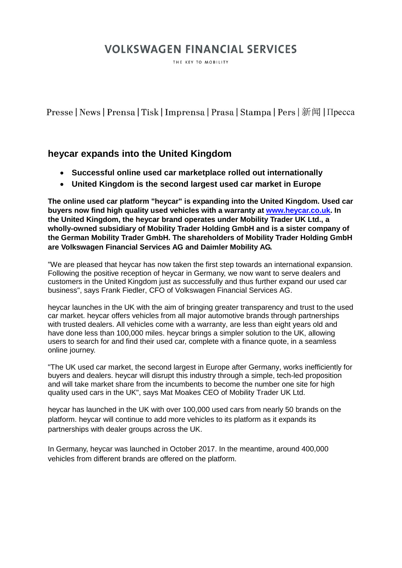# **VOLKSWAGEN FINANCIAL SERVICES**

THE KEY TO MOBILITY

Presse | News | Prensa | Tisk | Imprensa | Prasa | Stampa | Pers | 新闻 | Пресса

### **heycar expands into the United Kingdom**

- **Successful online used car marketplace rolled out internationally**
- **United Kingdom is the second largest used car market in Europe**

**The online used car platform "heycar" is expanding into the United Kingdom. Used car buyers now find high quality used vehicles with a warranty at [www.heycar.co.uk.](http://www.heycar.co.uk/) In the United Kingdom, the heycar brand operates under Mobility Trader UK Ltd., a wholly-owned subsidiary of Mobility Trader Holding GmbH and is a sister company of the German Mobility Trader GmbH. The shareholders of Mobility Trader Holding GmbH are Volkswagen Financial Services AG and Daimler Mobility AG.**

"We are pleased that heycar has now taken the first step towards an international expansion. Following the positive reception of heycar in Germany, we now want to serve dealers and customers in the United Kingdom just as successfully and thus further expand our used car business", says Frank Fiedler, CFO of Volkswagen Financial Services AG.

heycar launches in the UK with the aim of bringing greater transparency and trust to the used car market. heycar offers vehicles from all major automotive brands through partnerships with trusted dealers. All vehicles come with a warranty, are less than eight years old and have done less than 100,000 miles. heycar brings a simpler solution to the UK, allowing users to search for and find their used car, complete with a finance quote, in a seamless online journey.

"The UK used car market, the second largest in Europe after Germany, works inefficiently for buyers and dealers. heycar will disrupt this industry through a simple, tech-led proposition and will take market share from the incumbents to become the number one site for high quality used cars in the UK", says Mat Moakes CEO of Mobility Trader UK Ltd.

heycar has launched in the UK with over 100,000 used cars from nearly 50 brands on the platform. heycar will continue to add more vehicles to its platform as it expands its partnerships with dealer groups across the UK.

In Germany, heycar was launched in October 2017. In the meantime, around 400,000 vehicles from different brands are offered on the platform.